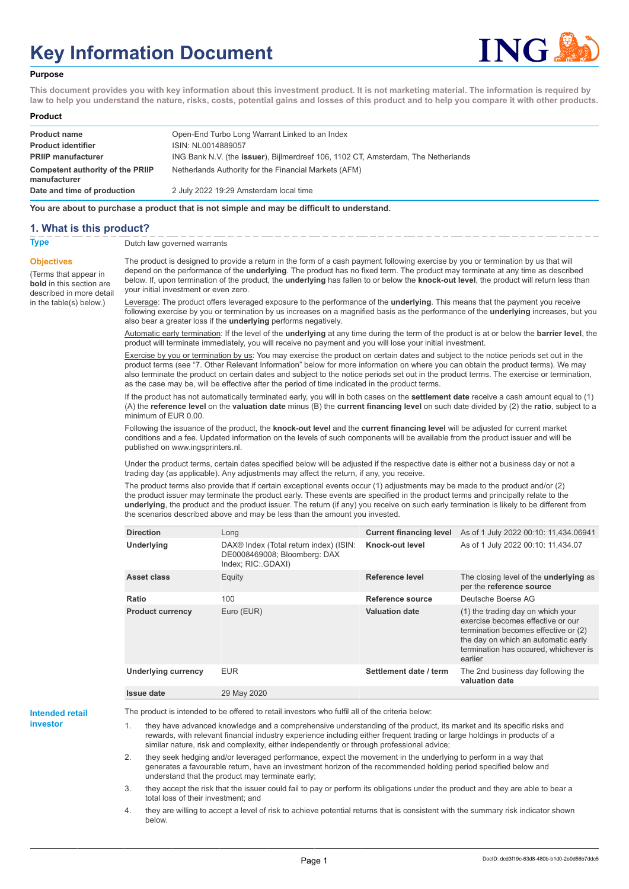# **Key Information Document**



#### **Purpose**

**This document provides you with key information about this investment product. It is not marketing material. The information is required by law to help you understand the nature, risks, costs, potential gains and losses of this product and to help you compare it with other products.**

#### **Product**

| <b>Product name</b>                              | Open-End Turbo Long Warrant Linked to an Index                                            |
|--------------------------------------------------|-------------------------------------------------------------------------------------------|
| <b>Product identifier</b>                        | ISIN: NL0014889057                                                                        |
| <b>PRIIP manufacturer</b>                        | ING Bank N.V. (the <b>issuer</b> ), Bijlmerdreef 106, 1102 CT, Amsterdam, The Netherlands |
| Competent authority of the PRIIP<br>manufacturer | Netherlands Authority for the Financial Markets (AFM)                                     |
| Date and time of production                      | 2 July 2022 19:29 Amsterdam local time                                                    |

**You are about to purchase a product that is not simple and may be difficult to understand.**

## **1. What is this product?**

**Objectives**

(Terms that appear in **bold** in this section are

in the table(s) below.)

## **Type** Dutch law governed warrants

described in more detail The product is designed to provide a return in the form of a cash payment following exercise by you or termination by us that will depend on the performance of the **underlying**. The product has no fixed term. The product may terminate at any time as described below. If, upon termination of the product, the **underlying** has fallen to or below the **knock-out level**, the product will return less than your initial investment or even zero.

> Leverage: The product offers leveraged exposure to the performance of the **underlying**. This means that the payment you receive following exercise by you or termination by us increases on a magnified basis as the performance of the **underlying** increases, but you also bear a greater loss if the **underlying** performs negatively.

> Automatic early termination: If the level of the **underlying** at any time during the term of the product is at or below the **barrier level**, the product will terminate immediately, you will receive no payment and you will lose your initial investment.

Exercise by you or termination by us: You may exercise the product on certain dates and subject to the notice periods set out in the product terms (see "7. Other Relevant Information" below for more information on where you can obtain the product terms). We may also terminate the product on certain dates and subject to the notice periods set out in the product terms. The exercise or termination, as the case may be, will be effective after the period of time indicated in the product terms.

If the product has not automatically terminated early, you will in both cases on the **settlement date** receive a cash amount equal to (1) (A) the **reference level** on the **valuation date** minus (B) the **current financing level** on such date divided by (2) the **ratio**, subject to a minimum of EUR 0.00.

Following the issuance of the product, the **knock-out level** and the **current financing level** will be adjusted for current market conditions and a fee. Updated information on the levels of such components will be available from the product issuer and will be published on www.ingsprinters.nl.

Under the product terms, certain dates specified below will be adjusted if the respective date is either not a business day or not a trading day (as applicable). Any adjustments may affect the return, if any, you receive.

The product terms also provide that if certain exceptional events occur (1) adjustments may be made to the product and/or (2) the product issuer may terminate the product early. These events are specified in the product terms and principally relate to the **underlying**, the product and the product issuer. The return (if any) you receive on such early termination is likely to be different from the scenarios described above and may be less than the amount you invested.

| <b>Direction</b>           | Long                                                                                                     | <b>Current financing level</b> | As of 1 July 2022 00:10: 11,434.06941                                                                                                                                                                     |
|----------------------------|----------------------------------------------------------------------------------------------------------|--------------------------------|-----------------------------------------------------------------------------------------------------------------------------------------------------------------------------------------------------------|
| <b>Underlying</b>          | DAX <sup>®</sup> Index (Total return index) (ISIN:<br>DE0008469008; Bloomberg: DAX<br>Index; RIC: GDAXI) | Knock-out level                | As of 1 July 2022 00:10: 11,434.07                                                                                                                                                                        |
| Asset class                | Equity                                                                                                   | Reference level                | The closing level of the <b>underlying</b> as<br>per the reference source                                                                                                                                 |
| Ratio                      | 100                                                                                                      | Reference source               | Deutsche Boerse AG                                                                                                                                                                                        |
| <b>Product currency</b>    | Euro (EUR)                                                                                               | <b>Valuation date</b>          | (1) the trading day on which your<br>exercise becomes effective or our<br>termination becomes effective or (2)<br>the day on which an automatic early<br>termination has occured, whichever is<br>earlier |
| <b>Underlying currency</b> | <b>EUR</b>                                                                                               | Settlement date / term         | The 2nd business day following the<br>valuation date                                                                                                                                                      |
| Issue date                 | 29 May 2020                                                                                              |                                |                                                                                                                                                                                                           |

**Intended retail investor**

The product is intended to be offered to retail investors who fulfil all of the criteria below:

they have advanced knowledge and a comprehensive understanding of the product, its market and its specific risks and rewards, with relevant financial industry experience including either frequent trading or large holdings in products of a similar nature, risk and complexity, either independently or through professional advice;

2. they seek hedging and/or leveraged performance, expect the movement in the underlying to perform in a way that generates a favourable return, have an investment horizon of the recommended holding period specified below and understand that the product may terminate early;

3. they accept the risk that the issuer could fail to pay or perform its obligations under the product and they are able to bear a total loss of their investment; and

4. they are willing to accept a level of risk to achieve potential returns that is consistent with the summary risk indicator shown below.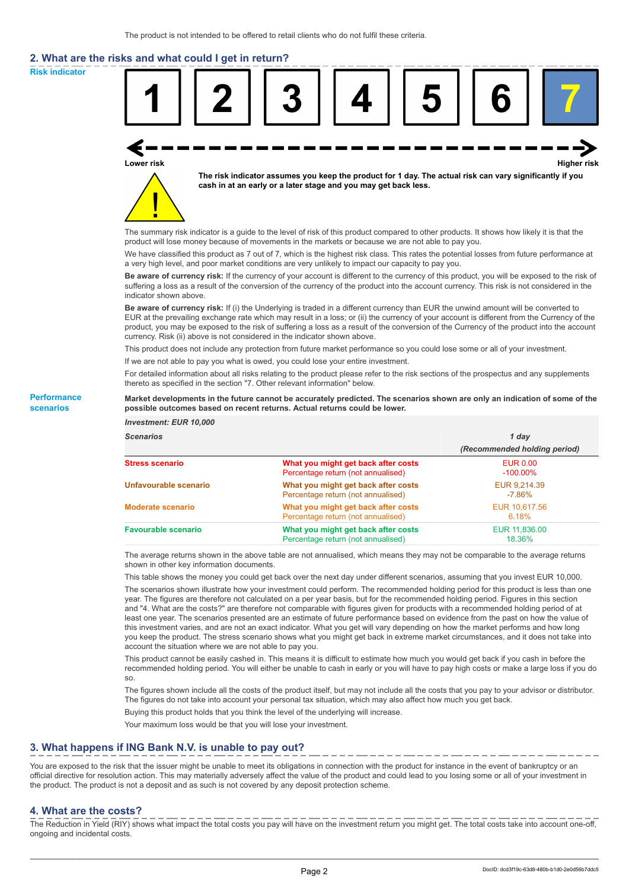# **2. What are the risks and what could I get in return?**

**Risk indicator**

**Performance scenarios**



thereto as specified in the section "7. Other relevant information" below.

#### **Market developments in the future cannot be accurately predicted. The scenarios shown are only an indication of some of the possible outcomes based on recent returns. Actual returns could be lower.**

| <b>Investment: EUR 10,000</b> |                                                                           |                                |
|-------------------------------|---------------------------------------------------------------------------|--------------------------------|
| <b>Scenarios</b>              |                                                                           | 1 day                          |
|                               |                                                                           | (Recommended holding period)   |
| <b>Stress scenario</b>        | What you might get back after costs<br>Percentage return (not annualised) | <b>EUR 0.00</b><br>$-100.00\%$ |
| Unfavourable scenario         | What you might get back after costs<br>Percentage return (not annualised) | EUR 9,214.39<br>$-7.86%$       |
| <b>Moderate scenario</b>      | What you might get back after costs<br>Percentage return (not annualised) | EUR 10.617.56<br>6.18%         |
| <b>Favourable scenario</b>    | What you might get back after costs<br>Percentage return (not annualised) | EUR 11,836,00<br>18.36%        |

The average returns shown in the above table are not annualised, which means they may not be comparable to the average returns shown in other key information documents.

This table shows the money you could get back over the next day under different scenarios, assuming that you invest EUR 10,000.

The scenarios shown illustrate how your investment could perform. The recommended holding period for this product is less than one year. The figures are therefore not calculated on a per year basis, but for the recommended holding period. Figures in this section and "4. What are the costs?" are therefore not comparable with figures given for products with a recommended holding period of at least one year. The scenarios presented are an estimate of future performance based on evidence from the past on how the value of this investment varies, and are not an exact indicator. What you get will vary depending on how the market performs and how long you keep the product. The stress scenario shows what you might get back in extreme market circumstances, and it does not take into account the situation where we are not able to pay you.

This product cannot be easily cashed in. This means it is difficult to estimate how much you would get back if you cash in before the recommended holding period. You will either be unable to cash in early or you will have to pay high costs or make a large loss if you do so.

The figures shown include all the costs of the product itself, but may not include all the costs that you pay to your advisor or distributor. The figures do not take into account your personal tax situation, which may also affect how much you get back.

Buying this product holds that you think the level of the underlying will increase.

Your maximum loss would be that you will lose your investment.

## **3. What happens if ING Bank N.V. is unable to pay out?**

You are exposed to the risk that the issuer might be unable to meet its obligations in connection with the product for instance in the event of bankruptcy or an official directive for resolution action. This may materially adversely affect the value of the product and could lead to you losing some or all of your investment in the product. The product is not a deposit and as such is not covered by any deposit protection scheme.

### **4. What are the costs?**

The Reduction in Yield (RIY) shows what impact the total costs you pay will have on the investment return you might get. The total costs take into account one-off, ongoing and incidental costs.